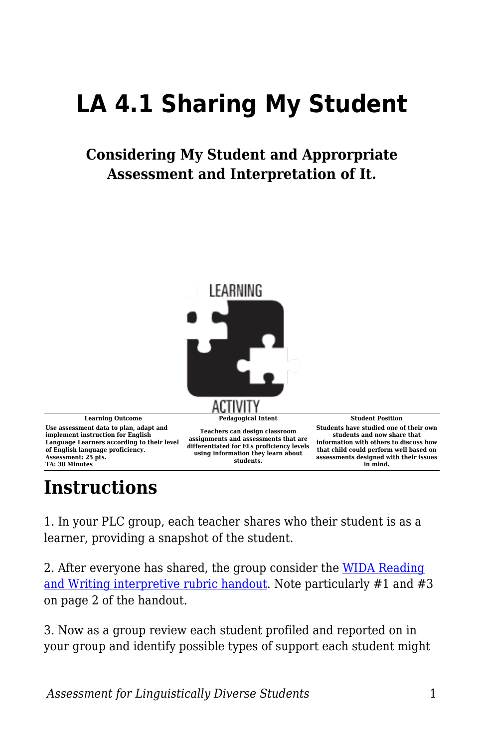## **LA 4.1 Sharing My Student**

## **Considering My Student and Approrpriate Assessment and Interpretation of It.**



## **Instructions**

1. In your PLC group, each teacher shares who their student is as a learner, providing a snapshot of the student.

2. After everyone has shared, the group consider the [WIDA Reading](https://byu.box.com/s/wqoebr50tvgi4b6e2zymgdj117oubbwg) [and Writing interpretive rubric handout.](https://byu.box.com/s/wqoebr50tvgi4b6e2zymgdj117oubbwg) Note particularly #1 and #3 on page 2 of the handout.

3. Now as a group review each student profiled and reported on in your group and identify possible types of support each student might